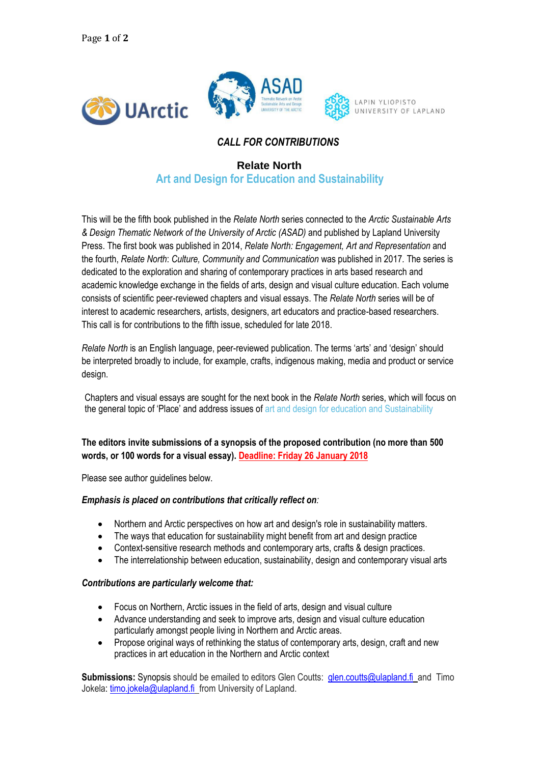

# *CALL FOR CONTRIBUTIONS*

## **Relate North Art and Design for Education and Sustainability**

This will be the fifth book published in the *Relate North* series connected to the *Arctic Sustainable Arts & Design Thematic Network of the University of Arctic (ASAD)* and published by Lapland University Press. The first book was published in 2014, *Relate North: Engagement, Art and Representation* and the fourth, *Relate North*: *Culture, Community and Communication* was published in 2017*.* The series is dedicated to the exploration and sharing of contemporary practices in arts based research and academic knowledge exchange in the fields of arts, design and visual culture education. Each volume consists of scientific peer-reviewed chapters and visual essays. The *Relate North* series will be of interest to academic researchers, artists, designers, art educators and practice-based researchers. This call is for contributions to the fifth issue, scheduled for late 2018.

*Relate North* is an English language, peer-reviewed publication. The terms 'arts' and 'design' should be interpreted broadly to include, for example, crafts, indigenous making, media and product or service design.

Chapters and visual essays are sought for the next book in the *Relate North* series, which will focus on the general topic of 'Place' and address issues of art and design for education and Sustainability

## **The editors invite submissions of a synopsis of the proposed contribution (no more than 500 words, or 100 words for a visual essay). Deadline: Friday 26 January 2018**

Please see author guidelines below.

#### *Emphasis is placed on contributions that critically reflect on:*

- Northern and Arctic perspectives on how art and design's role in sustainability matters.
- The ways that education for sustainability might benefit from art and design practice
- Context-sensitive research methods and contemporary arts, crafts & design practices.
- The interrelationship between education, sustainability, design and contemporary visual arts

### *Contributions are particularly welcome that:*

- Focus on Northern, Arctic issues in the field of arts, design and visual culture
- Advance understanding and seek to improve arts, design and visual culture education particularly amongst people living in Northern and Arctic areas.
- Propose original ways of rethinking the status of contemporary arts, design, craft and new practices in art education in the Northern and Arctic context

**Submissions:** Synopsis should be emailed to editors Glen Coutts:[glen.coutts@ulapland.fi](mailto:glen.coutts@ulapland.fi)andTimo Jokela: [timo.jokela@ulapland.fi f](mailto:timo.jokela@ulapland.fi)rom University of Lapland.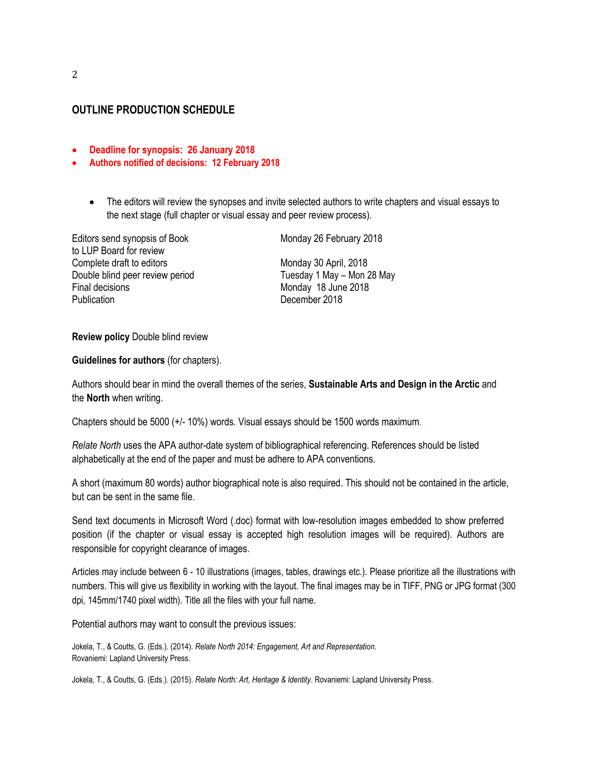## **OUTLINE PRODUCTION SCHEDULE**

- **Deadline for synopsis: 26 January 2018**
- **Authors notified of decisions: 12 February 2018**
	- The editors will review the synopses and invite selected authors to write chapters and visual essays to the next stage (full chapter or visual essay and peer review process).

Editors send synopsis of Book Monday 26 February 2018 to LUP Board for review Complete draft to editors Monday 30 April, 2018 Double blind peer review period Tuesday 1 May – Mon 28 May Final decisions Monday 18 June 2018 Publication December 2018

#### **Review policy** Double blind review

**Guidelines for authors** (for chapters).

Authors should bear in mind the overall themes of the series, **Sustainable Arts and Design in the Arctic** and the **North** when writing.

Chapters should be 5000 (+/- 10%) words. Visual essays should be 1500 words maximum.

*Relate North* uses the APA author-date system of bibliographical referencing. References should be listed alphabetically at the end of the paper and must be adhere to APA conventions.

A short (maximum 80 words) author biographical note is also required. This should not be contained in the article, but can be sent in the same file.

Send text documents in Microsoft Word (.doc) format with low-resolution images embedded to show preferred position (if the chapter or visual essay is accepted high resolution images will be required). Authors are responsible for copyright clearance of images.

Articles may include between 6 - 10 illustrations (images, tables, drawings etc.). Please prioritize all the illustrations with numbers. This will give us flexibility in working with the layout. The final images may be in TIFF, PNG or JPG format (300 dpi, 145mm/1740 pixel width). Title all the files with your full name.

Potential authors may want to consult the previous issues:

Jokela, T., & Coutts, G. (Eds.). (2014). *Relate North 2014: Engagement, Art and Representation.* Rovaniemi: Lapland University Press.

Jokela, T., & Coutts, G. (Eds.). (2015). *Relate North: Art, Heritage & Identity*. Rovaniemi: Lapland University Press.